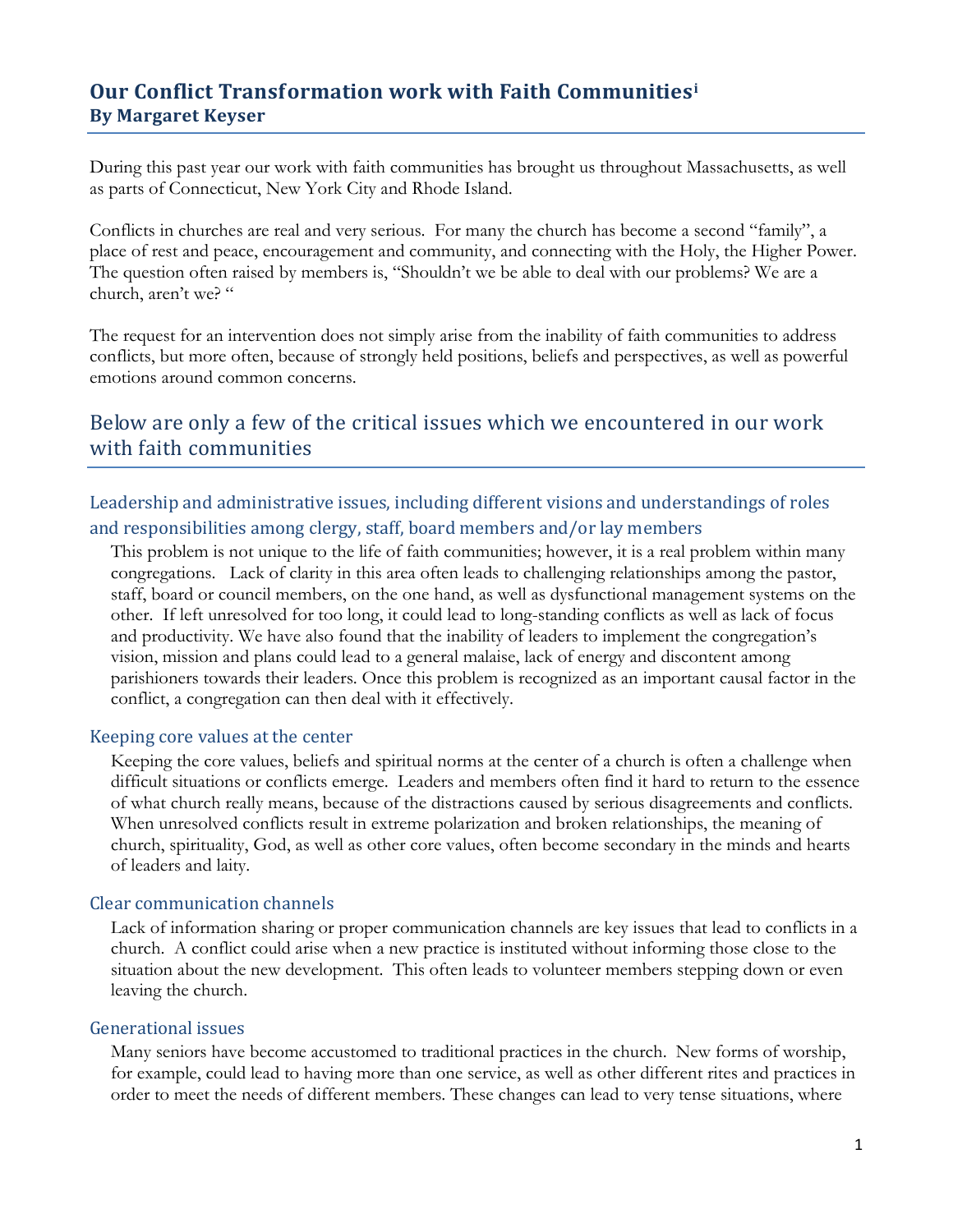## **Our Conflict Transformation work with Faith Communities<sup>i</sup> By Margaret Keyser**

During this past year our work with faith communities has brought us throughout Massachusetts, as well as parts of Connecticut, New York City and Rhode Island.

Conflicts in churches are real and very serious. For many the church has become a second "family", a place of rest and peace, encouragement and community, and connecting with the Holy, the Higher Power. The question often raised by members is, "Shouldn't we be able to deal with our problems? We are a church, aren't we? "

The request for an intervention does not simply arise from the inability of faith communities to address conflicts, but more often, because of strongly held positions, beliefs and perspectives, as well as powerful emotions around common concerns.

## Below are only a few of the critical issues which we encountered in our work with faith communities

Leadership and administrative issues, including different visions and understandings of roles and responsibilities among clergy, staff, board members and/or lay members

This problem is not unique to the life of faith communities; however, it is a real problem within many congregations. Lack of clarity in this area often leads to challenging relationships among the pastor, staff, board or council members, on the one hand, as well as dysfunctional management systems on the other. If left unresolved for too long, it could lead to long-standing conflicts as well as lack of focus and productivity. We have also found that the inability of leaders to implement the congregation's vision, mission and plans could lead to a general malaise, lack of energy and discontent among parishioners towards their leaders. Once this problem is recognized as an important causal factor in the conflict, a congregation can then deal with it effectively.

### Keeping core values at the center

Keeping the core values, beliefs and spiritual norms at the center of a church is often a challenge when difficult situations or conflicts emerge. Leaders and members often find it hard to return to the essence of what church really means, because of the distractions caused by serious disagreements and conflicts. When unresolved conflicts result in extreme polarization and broken relationships, the meaning of church, spirituality, God, as well as other core values, often become secondary in the minds and hearts of leaders and laity.

### Clear communication channels

Lack of information sharing or proper communication channels are key issues that lead to conflicts in a church. A conflict could arise when a new practice is instituted without informing those close to the situation about the new development. This often leads to volunteer members stepping down or even leaving the church.

#### Generational issues

Many seniors have become accustomed to traditional practices in the church. New forms of worship, for example, could lead to having more than one service, as well as other different rites and practices in order to meet the needs of different members. These changes can lead to very tense situations, where